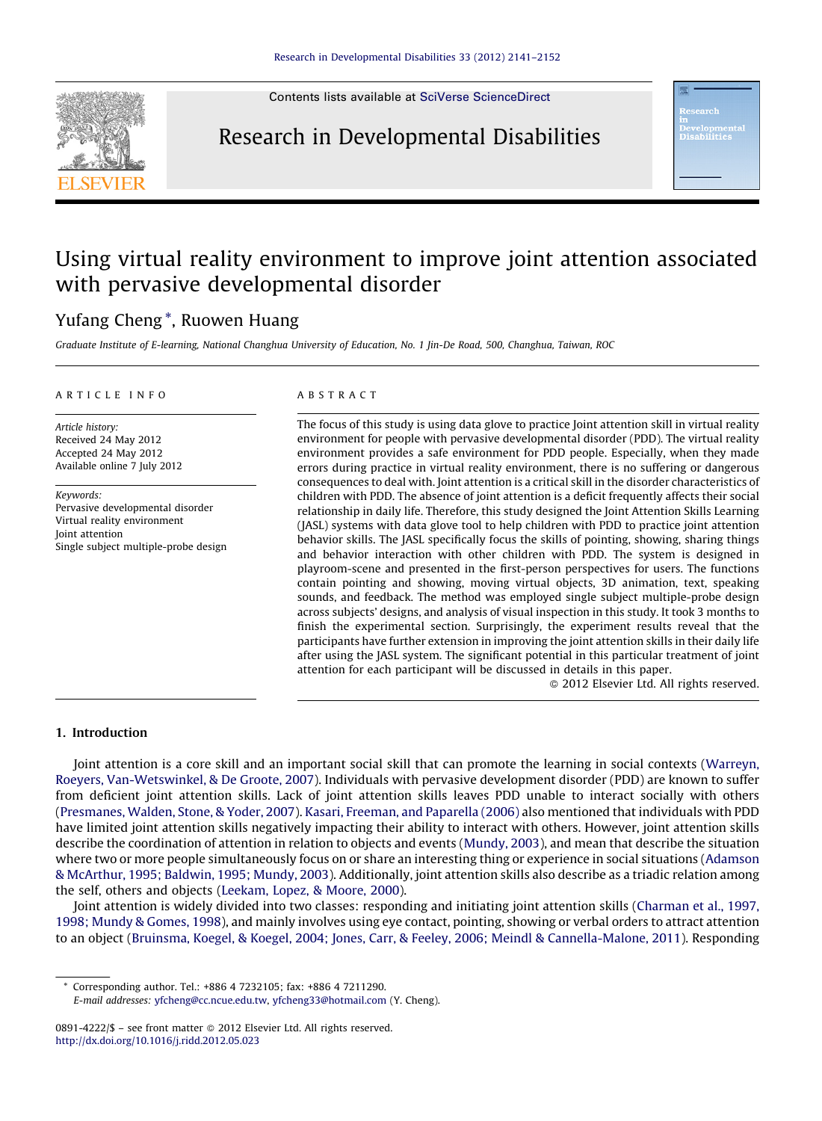Contents lists available at SciVerse [ScienceDirect](http://www.sciencedirect.com/science/journal/08914222)

## Research in Developmental Disabilities

# Using virtual reality environment to improve joint attention associated with pervasive developmental disorder

### Yufang Cheng \*, Ruowen Huang

Graduate Institute of E-learning, National Changhua University of Education, No. 1 Jin-De Road, 500, Changhua, Taiwan, ROC

#### A R T I C I E I N E O

Article history: Received 24 May 2012 Accepted 24 May 2012 Available online 7 July 2012

Keywords: Pervasive developmental disorder Virtual reality environment Joint attention Single subject multiple-probe design

#### A B S T R A C T

The focus of this study is using data glove to practice Joint attention skill in virtual reality environment for people with pervasive developmental disorder (PDD). The virtual reality environment provides a safe environment for PDD people. Especially, when they made errors during practice in virtual reality environment, there is no suffering or dangerous consequences to deal with. Joint attention is a critical skill in the disorder characteristics of children with PDD. The absence of joint attention is a deficit frequently affects their social relationship in daily life. Therefore, this study designed the Joint Attention Skills Learning (JASL) systems with data glove tool to help children with PDD to practice joint attention behavior skills. The JASL specifically focus the skills of pointing, showing, sharing things and behavior interaction with other children with PDD. The system is designed in playroom-scene and presented in the first-person perspectives for users. The functions contain pointing and showing, moving virtual objects, 3D animation, text, speaking sounds, and feedback. The method was employed single subject multiple-probe design across subjects' designs, and analysis of visual inspection in this study. It took 3 months to finish the experimental section. Surprisingly, the experiment results reveal that the participants have further extension in improving the joint attention skills in their daily life after using the JASL system. The significant potential in this particular treatment of joint attention for each participant will be discussed in details in this paper.

- 2012 Elsevier Ltd. All rights reserved.

#### 1. Introduction

Joint attention is a core skill and an important social skill that can promote the learning in social contexts ([Warreyn,](#page--1-0) Roeyers, [Van-Wetswinkel,](#page--1-0) & De Groote, 2007). Individuals with pervasive development disorder (PDD) are known to suffer from deficient joint attention skills. Lack of joint attention skills leaves PDD unable to interact socially with others ([Presmanes,](#page--1-0) Walden, Stone, & Yoder, 2007). Kasari, Freeman, and [Paparella](#page--1-0) (2006) also mentioned that individuals with PDD have limited joint attention skills negatively impacting their ability to interact with others. However, joint attention skills describe the coordination of attention in relation to objects and events [\(Mundy,](#page--1-0) 2003), and mean that describe the situation where two or more people simultaneously focus on or share an interesting thing or experience in social situations [\(Adamson](#page--1-0) & [McArthur,](#page--1-0) 1995; Baldwin, 1995; Mundy, 2003). Additionally, joint attention skills also describe as a triadic relation among the self, others and objects ([Leekam,](#page--1-0) Lopez, & Moore, 2000).

Joint attention is widely divided into two classes: responding and initiating joint attention skills [\(Charman](#page--1-0) et al., 1997, 1998; Mundy & [Gomes,](#page--1-0) 1998), and mainly involves using eye contact, pointing, showing or verbal orders to attract attention to an object (Bruinsma, Koegel, & Koegel, 2004; Jones, Carr, & Feeley, 2006; Meindl & [Cannella-Malone,](#page--1-0) 2011). Responding

Corresponding author. Tel.: +886 4 7232105; fax: +886 4 7211290.

E-mail addresses: [yfcheng@cc.ncue.edu.tw,](mailto:yfcheng@cc.ncue.edu.tw) [yfcheng33@hotmail.com](mailto:yfcheng33@hotmail.com) (Y. Cheng).

<sup>0891-4222/\$ –</sup> see front matter © 2012 Elsevier Ltd. All rights reserved. <http://dx.doi.org/10.1016/j.ridd.2012.05.023>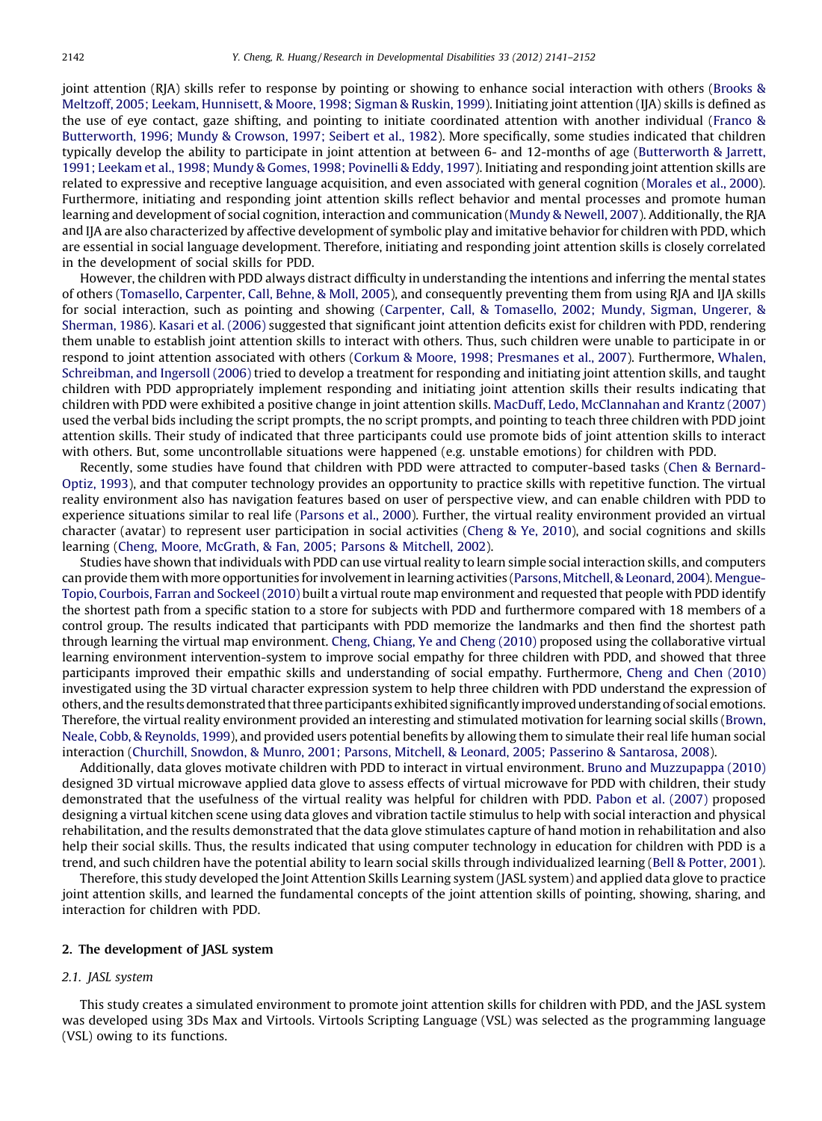joint attention (RIA) skills refer to response by pointing or showing to enhance social interaction with others ([Brooks](#page--1-0) & Meltzoff, 2005; Leekam, [Hunnisett,](#page--1-0) & Moore, 1998; Sigman & Ruskin, 1999). Initiating joint attention (IJA) skills is defined as the use of eye contact, gaze shifting, and pointing to initiate coordinated attention with another individual ([Franco](#page--1-0) & [Butterworth,](#page--1-0) 1996; Mundy & Crowson, 1997; Seibert et al., 1982). More specifically, some studies indicated that children typically develop the ability to participate in joint attention at between 6- and 12-months of age ([Butterworth](#page--1-0) & Jarrett, 1991; Leekam et al., 1998; Mundy & Gomes, 1998; [Povinelli](#page--1-0) & Eddy, 1997). Initiating and responding joint attention skills are related to expressive and receptive language acquisition, and even associated with general cognition [\(Morales](#page--1-0) et al., 2000). Furthermore, initiating and responding joint attention skills reflect behavior and mental processes and promote human learning and development of social cognition, interaction and communication (Mundy & [Newell,](#page--1-0) 2007). Additionally, the RJA and IJA are also characterized by affective development of symbolic play and imitative behavior for children with PDD, which are essential in social language development. Therefore, initiating and responding joint attention skills is closely correlated in the development of social skills for PDD.

However, the children with PDD always distract difficulty in understanding the intentions and inferring the mental states of others ([Tomasello,](#page--1-0) Carpenter, Call, Behne, & Moll, 2005), and consequently preventing them from using RJA and IJA skills for social interaction, such as pointing and showing (Carpenter, Call, & [Tomasello,](#page--1-0) 2002; Mundy, Sigman, Ungerer, & [Sherman,](#page--1-0) 1986). Kasari et al. [\(2006\)](#page--1-0) suggested that significant joint attention deficits exist for children with PDD, rendering them unable to establish joint attention skills to interact with others. Thus, such children were unable to participate in or respond to joint attention associated with others (Corkum & Moore, 1998; [Presmanes](#page--1-0) et al., 2007). Furthermore, [Whalen,](#page--1-0) [Schreibman,](#page--1-0) and Ingersoll (2006) tried to develop a treatment for responding and initiating joint attention skills, and taught children with PDD appropriately implement responding and initiating joint attention skills their results indicating that children with PDD were exhibited a positive change in joint attention skills. MacDuff, Ledo, [McClannahan](#page--1-0) and Krantz (2007) used the verbal bids including the script prompts, the no script prompts, and pointing to teach three children with PDD joint attention skills. Their study of indicated that three participants could use promote bids of joint attention skills to interact with others. But, some uncontrollable situations were happened (e.g. unstable emotions) for children with PDD.

Recently, some studies have found that children with PDD were attracted to computer-based tasks (Chen & [Bernard-](#page--1-0)[Optiz,](#page--1-0) 1993), and that computer technology provides an opportunity to practice skills with repetitive function. The virtual reality environment also has navigation features based on user of perspective view, and can enable children with PDD to experience situations similar to real life ([Parsons](#page--1-0) et al., 2000). Further, the virtual reality environment provided an virtual character (avatar) to represent user participation in social activities ([Cheng](#page--1-0) & Ye, 2010), and social cognitions and skills learning (Cheng, Moore, [McGrath,](#page--1-0) & Fan, 2005; Parsons & Mitchell, 2002).

Studies have shown that individuals with PDD can use virtual reality to learn simple social interaction skills, and computers can provide them with more opportunities for involvementin learning activities (Parsons, [Mitchell,&Leonard,](#page--1-0) 2004). [Mengue-](#page--1-0)Topio, Courbois, Farran and [Sockeel\(2010\)](#page--1-0) built a virtual route map environment and requested that people with PDD identify the shortest path from a specific station to a store for subjects with PDD and furthermore compared with 18 members of a control group. The results indicated that participants with PDD memorize the landmarks and then find the shortest path through learning the virtual map environment. Cheng, [Chiang,](#page--1-0) Ye and Cheng (2010) proposed using the collaborative virtual learning environment intervention-system to improve social empathy for three children with PDD, and showed that three participants improved their empathic skills and understanding of social empathy. Furthermore, Cheng and Chen [\(2010\)](#page--1-0) investigated using the 3D virtual character expression system to help three children with PDD understand the expression of others, and the results demonstrated that three participants exhibited significantly improved understanding of social emotions. Therefore, the virtual reality environment provided an interesting and stimulated motivation for learning social skills ([Brown,](#page--1-0) Neale, Cobb, & [Reynolds,](#page--1-0) 1999), and provided users potential benefits by allowing them to simulate their real life human social interaction (Churchill, Snowdon, & Munro, 2001; Parsons, Mitchell, & Leonard, 2005; Passerino & [Santarosa,](#page--1-0) 2008).

Additionally, data gloves motivate children with PDD to interact in virtual environment. Bruno and [Muzzupappa](#page--1-0) (2010) designed 3D virtual microwave applied data glove to assess effects of virtual microwave for PDD with children, their study demonstrated that the usefulness of the virtual reality was helpful for children with PDD. Pabon et al. [\(2007\)](#page--1-0) proposed designing a virtual kitchen scene using data gloves and vibration tactile stimulus to help with social interaction and physical rehabilitation, and the results demonstrated that the data glove stimulates capture of hand motion in rehabilitation and also help their social skills. Thus, the results indicated that using computer technology in education for children with PDD is a trend, and such children have the potential ability to learn social skills through individualized learning (Bell & [Potter,](#page--1-0) 2001).

Therefore,this study developed the Joint Attention Skills Learning system (JASL system) and applied data glove to practice joint attention skills, and learned the fundamental concepts of the joint attention skills of pointing, showing, sharing, and interaction for children with PDD.

#### 2. The development of JASL system

#### 2.1. JASL system

This study creates a simulated environment to promote joint attention skills for children with PDD, and the JASL system was developed using 3Ds Max and Virtools. Virtools Scripting Language (VSL) was selected as the programming language (VSL) owing to its functions.